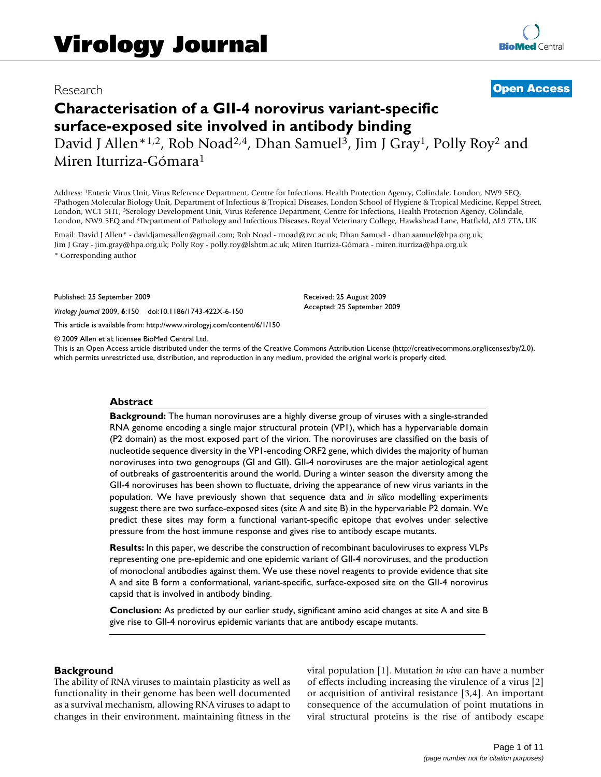# Research **[Open Access](http://www.biomedcentral.com/info/about/charter/)**

# **Characterisation of a GII-4 norovirus variant-specific surface-exposed site involved in antibody binding** David J Allen<sup>\*1,2</sup>, Rob Noad<sup>2,4</sup>, Dhan Samuel<sup>3</sup>, Jim J Gray<sup>1</sup>, Polly Roy<sup>2</sup> and

Miren Iturriza-Gómara1

Address: <sup>1</sup>Enteric Virus Unit, Virus Reference Department, Centre for Infections, Health Protection Agency, Colindale, London, NW9 5EQ,<br><sup>2</sup>Pathogen Molecular Biology Unit, Department of Infectious & Tropical Diseases, Lon London, WC1 5HT, 3Serology Development Unit, Virus Reference Department, Centre for Infections, Health Protection Agency, Colindale, London, NW9 5EQ and 4Department of Pathology and Infectious Diseases, Royal Veterinary College, Hawkshead Lane, Hatfield, AL9 7TA, UK

Email: David J Allen\* - davidjamesallen@gmail.com; Rob Noad - rnoad@rvc.ac.uk; Dhan Samuel - dhan.samuel@hpa.org.uk; Jim J Gray - jim.gray@hpa.org.uk; Polly Roy - polly.roy@lshtm.ac.uk; Miren Iturriza-Gómara - miren.iturriza@hpa.org.uk \* Corresponding author

Published: 25 September 2009

*Virology Journal* 2009, **6**:150 doi:10.1186/1743-422X-6-150

[This article is available from: http://www.virologyj.com/content/6/1/150](http://www.virologyj.com/content/6/1/150)

© 2009 Allen et al; licensee BioMed Central Ltd.

This is an Open Access article distributed under the terms of the Creative Commons Attribution License [\(http://creativecommons.org/licenses/by/2.0\)](http://creativecommons.org/licenses/by/2.0), which permits unrestricted use, distribution, and reproduction in any medium, provided the original work is properly cited.

Received: 25 August 2009 Accepted: 25 September 2009

#### **Abstract**

**Background:** The human noroviruses are a highly diverse group of viruses with a single-stranded RNA genome encoding a single major structural protein (VP1), which has a hypervariable domain (P2 domain) as the most exposed part of the virion. The noroviruses are classified on the basis of nucleotide sequence diversity in the VP1-encoding ORF2 gene, which divides the majority of human noroviruses into two genogroups (GI and GII). GII-4 noroviruses are the major aetiological agent of outbreaks of gastroenteritis around the world. During a winter season the diversity among the GII-4 noroviruses has been shown to fluctuate, driving the appearance of new virus variants in the population. We have previously shown that sequence data and *in silico* modelling experiments suggest there are two surface-exposed sites (site A and site B) in the hypervariable P2 domain. We predict these sites may form a functional variant-specific epitope that evolves under selective pressure from the host immune response and gives rise to antibody escape mutants.

**Results:** In this paper, we describe the construction of recombinant baculoviruses to express VLPs representing one pre-epidemic and one epidemic variant of GII-4 noroviruses, and the production of monoclonal antibodies against them. We use these novel reagents to provide evidence that site A and site B form a conformational, variant-specific, surface-exposed site on the GII-4 norovirus capsid that is involved in antibody binding.

**Conclusion:** As predicted by our earlier study, significant amino acid changes at site A and site B give rise to GII-4 norovirus epidemic variants that are antibody escape mutants.

#### **Background**

The ability of RNA viruses to maintain plasticity as well as functionality in their genome has been well documented as a survival mechanism, allowing RNA viruses to adapt to changes in their environment, maintaining fitness in the viral population [1]. Mutation *in vivo* can have a number of effects including increasing the virulence of a virus [2] or acquisition of antiviral resistance [3,4]. An important consequence of the accumulation of point mutations in viral structural proteins is the rise of antibody escape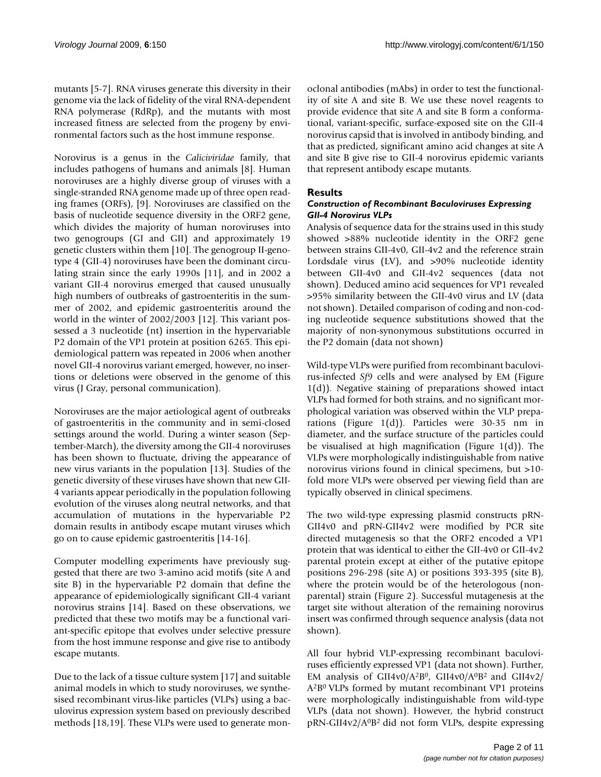mutants [5-7]. RNA viruses generate this diversity in their genome via the lack of fidelity of the viral RNA-dependent RNA polymerase (RdRp), and the mutants with most increased fitness are selected from the progeny by environmental factors such as the host immune response.

Norovirus is a genus in the *Caliciviridae* family, that includes pathogens of humans and animals [8]. Human noroviruses are a highly diverse group of viruses with a single-stranded RNA genome made up of three open reading frames (ORFs), [9]. Noroviruses are classified on the basis of nucleotide sequence diversity in the ORF2 gene, which divides the majority of human noroviruses into two genogroups (GI and GII) and approximately 19 genetic clusters within them [10]. The genogroup II-genotype 4 (GII-4) noroviruses have been the dominant circulating strain since the early 1990s [11], and in 2002 a variant GII-4 norovirus emerged that caused unusually high numbers of outbreaks of gastroenteritis in the summer of 2002, and epidemic gastroenteritis around the world in the winter of 2002/2003 [12]. This variant possessed a 3 nucleotide (nt) insertion in the hypervariable P2 domain of the VP1 protein at position 6265. This epidemiological pattern was repeated in 2006 when another novel GII-4 norovirus variant emerged, however, no insertions or deletions were observed in the genome of this virus (J Gray, personal communication).

Noroviruses are the major aetiological agent of outbreaks of gastroenteritis in the community and in semi-closed settings around the world. During a winter season (September-March), the diversity among the GII-4 noroviruses has been shown to fluctuate, driving the appearance of new virus variants in the population [13]. Studies of the genetic diversity of these viruses have shown that new GII-4 variants appear periodically in the population following evolution of the viruses along neutral networks, and that accumulation of mutations in the hypervariable P2 domain results in antibody escape mutant viruses which go on to cause epidemic gastroenteritis [14-16].

Computer modelling experiments have previously suggested that there are two 3-amino acid motifs (site A and site B) in the hypervariable P2 domain that define the appearance of epidemiologically significant GII-4 variant norovirus strains [14]. Based on these observations, we predicted that these two motifs may be a functional variant-specific epitope that evolves under selective pressure from the host immune response and give rise to antibody escape mutants.

Due to the lack of a tissue culture system [17] and suitable animal models in which to study noroviruses, we synthesised recombinant virus-like particles (VLPs) using a baculovirus expression system based on previously described methods [18,19]. These VLPs were used to generate monoclonal antibodies (mAbs) in order to test the functionality of site A and site B. We use these novel reagents to provide evidence that site A and site B form a conformational, variant-specific, surface-exposed site on the GII-4 norovirus capsid that is involved in antibody binding, and that as predicted, significant amino acid changes at site A and site B give rise to GII-4 norovirus epidemic variants that represent antibody escape mutants.

# **Results**

#### *Construction of Recombinant Baculoviruses Expressing GII-4 Norovirus VLPs*

Analysis of sequence data for the strains used in this study showed >88% nucleotide identity in the ORF2 gene between strains GII-4v0, GII-4v2 and the reference strain Lordsdale virus (LV), and >90% nucleotide identity between GII-4v0 and GII-4v2 sequences (data not shown). Deduced amino acid sequences for VP1 revealed >95% similarity between the GII-4v0 virus and LV (data not shown). Detailed comparison of coding and non-coding nucleotide sequence substitutions showed that the majority of non-synonymous substitutions occurred in the P2 domain (data not shown)

Wild-type VLPs were purified from recombinant baculovirus-infected *Sf9* cells and were analysed by EM (Figure 1(d)). Negative staining of preparations showed intact VLPs had formed for both strains, and no significant morphological variation was observed within the VLP preparations (Figure 1(d)). Particles were 30-35 nm in diameter, and the surface structure of the particles could be visualised at high magnification (Figure 1(d)). The VLPs were morphologically indistinguishable from native norovirus virions found in clinical specimens, but >10 fold more VLPs were observed per viewing field than are typically observed in clinical specimens.

The two wild-type expressing plasmid constructs pRN-GII4v0 and pRN-GII4v2 were modified by PCR site directed mutagenesis so that the ORF2 encoded a VP1 protein that was identical to either the GII-4v0 or GII-4v2 parental protein except at either of the putative epitope positions 296-298 (site A) or positions 393-395 (site B), where the protein would be of the heterologous (nonparental) strain (Figure 2). Successful mutagenesis at the target site without alteration of the remaining norovirus insert was confirmed through sequence analysis (data not shown).

All four hybrid VLP-expressing recombinant baculoviruses efficiently expressed VP1 (data not shown). Further, EM analysis of GII4v0/A2B0, GII4v0/A0B2 and GII4v2/ A2B0 VLPs formed by mutant recombinant VP1 proteins were morphologically indistinguishable from wild-type VLPs (data not shown). However, the hybrid construct pRN-GII4v2/A0B2 did not form VLPs, despite expressing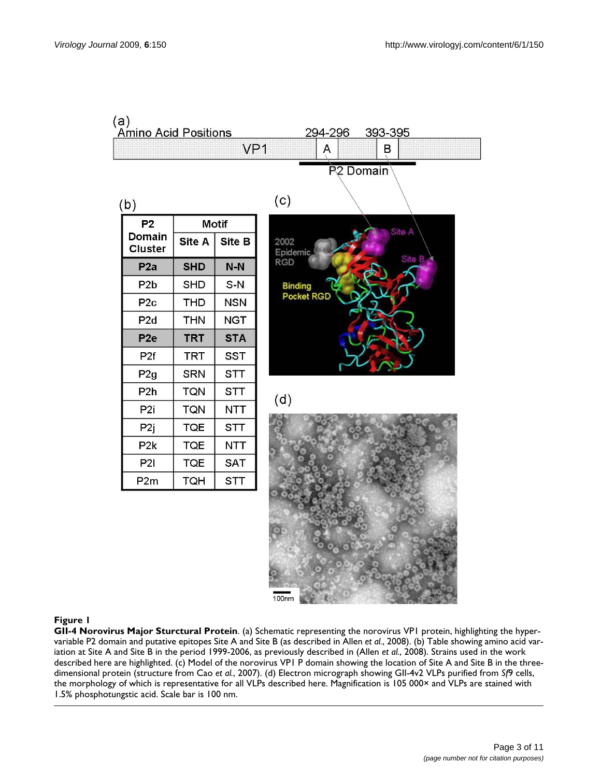

# **Figure I**

**GII-4 Norovirus Major Sturctural Protein**. (a) Schematic representing the norovirus VP1 protein, highlighting the hypervariable P2 domain and putative epitopes Site A and Site B (as described in Allen *et al.*, 2008). (b) Table showing amino acid variation at Site A and Site B in the period 1999-2006, as previously described in (Allen *et al.*, 2008). Strains used in the work described here are highlighted. (c) Model of the norovirus VP1 P domain showing the location of Site A and Site B in the threedimensional protein (structure from Cao *et al.*, 2007). (d) Electron micrograph showing GII-4v2 VLPs purified from *Sf*9 cells, the morphology of which is representative for all VLPs described here. Magnification is 105 000× and VLPs are stained with 1.5% phosphotungstic acid. Scale bar is 100 nm.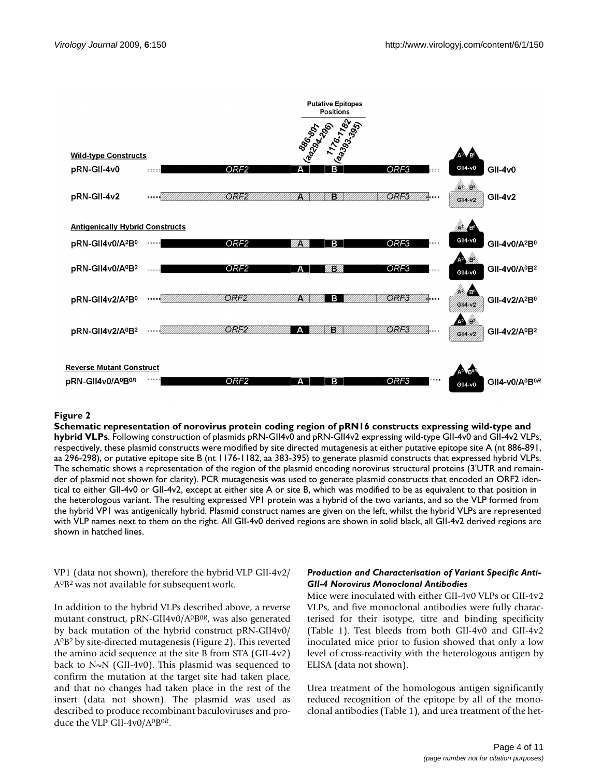

#### Schematic representation of no **Figure 2** rovirus protein coding region of pRN16 constructs expressing wild-type and hybrid VLPs

**Schematic representation of norovirus protein coding region of pRN16 constructs expressing wild-type and hybrid VLPs**. Following construction of plasmids pRN-GII4v0 and pRN-GII4v2 expressing wild-type GII-4v0 and GII-4v2 VLPs, respectively, these plasmid constructs were modified by site directed mutagenesis at either putative epitope site A (nt 886-891, aa 296-298), or putative epitope site B (nt 1176-1182, aa 383-395) to generate plasmid constructs that expressed hybrid VLPs. The schematic shows a representation of the region of the plasmid encoding norovirus structural proteins (3'UTR and remainder of plasmid not shown for clarity). PCR mutagenesis was used to generate plasmid constructs that encoded an ORF2 identical to either GII-4v0 or GII-4v2, except at either site A or site B, which was modified to be as equivalent to that position in the heterologous variant. The resulting expressed VP1 protein was a hybrid of the two variants, and so the VLP formed from the hybrid VP1 was antigenically hybrid. Plasmid construct names are given on the left, whilst the hybrid VLPs are represented with VLP names next to them on the right. All GII-4v0 derived regions are shown in solid black, all GII-4v2 derived regions are shown in hatched lines.

VP1 (data not shown), therefore the hybrid VLP GII-4v2/ A0B2 was not available for subsequent work.

In addition to the hybrid VLPs described above, a reverse mutant construct, pRN-GII4v0/A0B0*<sup>R</sup>*, was also generated by back mutation of the hybrid construct pRN-GII4v0/ A0B2 by site-directed mutagenesis (Figure 2). This reverted the amino acid sequence at the site B from STA (GII-4v2) back to N~N (GII-4v0). This plasmid was sequenced to confirm the mutation at the target site had taken place, and that no changes had taken place in the rest of the insert (data not shown). The plasmid was used as described to produce recombinant baculoviruses and produce the VLP GII-4v0/A0B0*<sup>R</sup>*.

# *Production and Characterisation of Variant Specific Anti-GII-4 Norovirus Monoclonal Antibodies*

Mice were inoculated with either GII-4v0 VLPs or GII-4v2 VLPs, and five monoclonal antibodies were fully characterised for their isotype, titre and binding specificity (Table 1). Test bleeds from both GII-4v0 and GII-4v2 inoculated mice prior to fusion showed that only a low level of cross-reactivity with the heterologous antigen by ELISA (data not shown).

Urea treatment of the homologous antigen significantly reduced recognition of the epitope by all of the monoclonal antibodies (Table 1), and urea treatment of the het-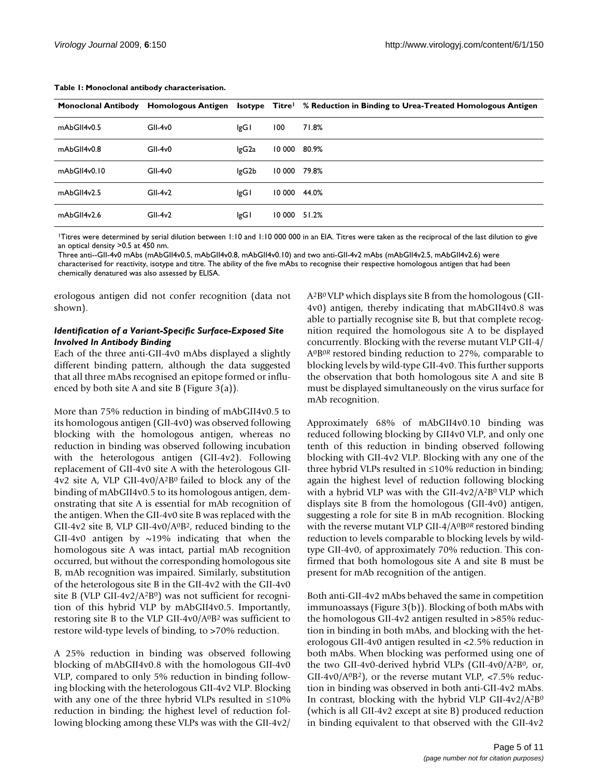| <b>Monoclonal Antibody</b> |           |       |        | Homologous Antigen Isotype Titre <sup>1</sup> % Reduction in Binding to Urea-Treated Homologous Antigen |
|----------------------------|-----------|-------|--------|---------------------------------------------------------------------------------------------------------|
| mAbGlI4v0.5                | $GII-4v0$ | lgG I | 100    | 71.8%                                                                                                   |
| mAbGII4v0.8                | $GII-4v0$ | lgG2a | 10 000 | 80.9%                                                                                                   |
| mAbGII4v0.10               | $GII-4v0$ | lgG2b | 10 000 | 79.8%                                                                                                   |
| mAbGlI4v2.5                | $GII-4v2$ | lgG l | 10 000 | 44.0%                                                                                                   |
| mAbGlI4v2.6                | $GII-4v2$ | lgG I | 10 000 | 51.2%                                                                                                   |

#### **Table 1: Monoclonal antibody characterisation.**

1Titres were determined by serial dilution between 1:10 and 1:10 000 000 in an EIA. Titres were taken as the reciprocal of the last dilution to give an optical density >0.5 at 450 nm.

Three anti--GII-4v0 mAbs (mAbGII4v0.5, mAbGII4v0.8, mAbGII4v0.10) and two anti-GII-4v2 mAbs (mAbGII4v2.5, mAbGII4v2.6) were characterised for reactivity, isotype and titre. The ability of the five mAbs to recognise their respective homologous antigen that had been chemically denatured was also assessed by ELISA.

erologous antigen did not confer recognition (data not shown).

# *Identification of a Variant-Specific Surface-Exposed Site Involved In Antibody Binding*

Each of the three anti-GII-4v0 mAbs displayed a slightly different binding pattern, although the data suggested that all three mAbs recognised an epitope formed or influenced by both site A and site B (Figure 3(a)).

More than 75% reduction in binding of mAbGII4v0.5 to its homologous antigen (GII-4v0) was observed following blocking with the homologous antigen, whereas no reduction in binding was observed following incubation with the heterologous antigen (GII-4v2). Following replacement of GII-4v0 site A with the heterologous GII-4v2 site A, VLP GII-4v0/A2B0 failed to block any of the binding of mAbGII4v0.5 to its homologous antigen, demonstrating that site A is essential for mAb recognition of the antigen. When the GII-4v0 site B was replaced with the GII-4v2 site B, VLP GII-4v0/ $A^{0}B^{2}$ , reduced binding to the GII-4v0 antigen by  $\sim$ 19% indicating that when the homologous site A was intact, partial mAb recognition occurred, but without the corresponding homologous site B, mAb recognition was impaired. Similarly, substitution of the heterologous site B in the GII-4v2 with the GII-4v0 site B (VLP GII-4v2/A<sup>2</sup>B<sup>0</sup>) was not sufficient for recognition of this hybrid VLP by mAbGII4v0.5. Importantly, restoring site B to the VLP GII-4v0/A0B2 was sufficient to restore wild-type levels of binding, to >70% reduction.

A 25% reduction in binding was observed following blocking of mAbGII4v0.8 with the homologous GII-4v0 VLP, compared to only 5% reduction in binding following blocking with the heterologous GII-4v2 VLP. Blocking with any one of the three hybrid VLPs resulted in ≤10% reduction in binding; the highest level of reduction following blocking among these VLPs was with the GII-4v2/

A2B0 VLP which displays site B from the homologous (GII-4v0) antigen, thereby indicating that mAbGII4v0.8 was able to partially recognise site B, but that complete recognition required the homologous site A to be displayed concurrently. Blocking with the reverse mutant VLP GII-4/ A0B0*<sup>R</sup>*restored binding reduction to 27%, comparable to blocking levels by wild-type GII-4v0. This further supports the observation that both homologous site A and site B must be displayed simultaneously on the virus surface for mAb recognition.

Approximately 68% of mAbGII4v0.10 binding was reduced following blocking by GII4v0 VLP, and only one tenth of this reduction in binding observed following blocking with GII-4v2 VLP. Blocking with any one of the three hybrid VLPs resulted in ≤10% reduction in binding; again the highest level of reduction following blocking with a hybrid VLP was with the GII-4v2/A<sup>2</sup>B<sup>0</sup> VLP which displays site B from the homologous (GII-4v0) antigen, suggesting a role for site B in mAb recognition. Blocking with the reverse mutant VLP GII-4/A<sup>0</sup>B<sup>0R</sup> restored binding reduction to levels comparable to blocking levels by wildtype GII-4v0, of approximately 70% reduction. This confirmed that both homologous site A and site B must be present for mAb recognition of the antigen.

Both anti-GII-4v2 mAbs behaved the same in competition immunoassays (Figure 3(b)). Blocking of both mAbs with the homologous GII-4v2 antigen resulted in >85% reduction in binding in both mAbs, and blocking with the heterologous GII-4v0 antigen resulted in <2.5% reduction in both mAbs. When blocking was performed using one of the two GII-4v0-derived hybrid VLPs (GII-4v0/A2B0, or, GII-4v0/A<sup>0</sup>B<sup>2</sup>), or the reverse mutant VLP, <7.5% reduction in binding was observed in both anti-GII-4v2 mAbs. In contrast, blocking with the hybrid VLP GII-4v2/A<sup>2</sup>B<sup>0</sup> (which is all GII-4v2 except at site B) produced reduction in binding equivalent to that observed with the GII-4v2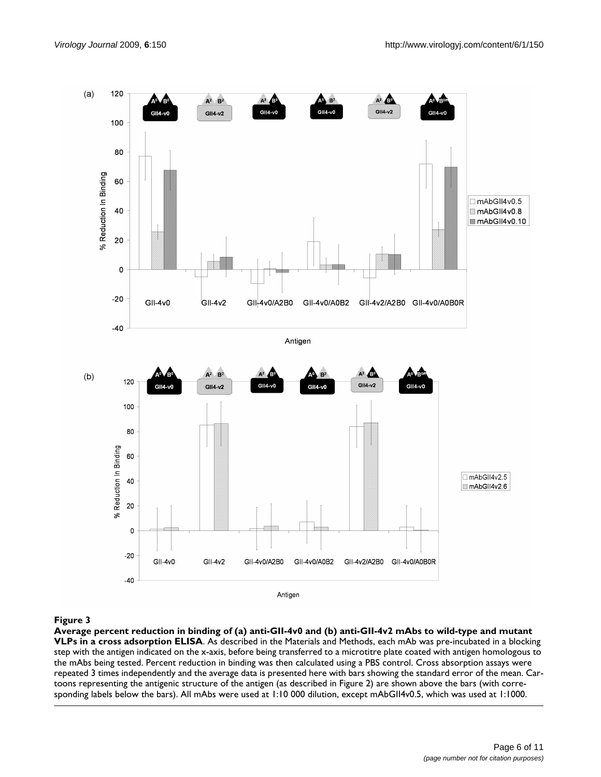

#### Average percent reduction in binding of (a adsorption ELISA **Figure 3** ) anti-GII-4v0 and (b) anti-GII-4v2 mAbs to wild-type and mutant VLPs in a cross

**Average percent reduction in binding of (a) anti-GII-4v0 and (b) anti-GII-4v2 mAbs to wild-type and mutant VLPs in a cross adsorption ELISA**. As described in the Materials and Methods, each mAb was pre-incubated in a blocking step with the antigen indicated on the x-axis, before being transferred to a microtitre plate coated with antigen homologous to the mAbs being tested. Percent reduction in binding was then calculated using a PBS control. Cross absorption assays were repeated 3 times independently and the average data is presented here with bars showing the standard error of the mean. Cartoons representing the antigenic structure of the antigen (as described in Figure 2) are shown above the bars (with corresponding labels below the bars). All mAbs were used at 1:10 000 dilution, except mAbGII4v0.5, which was used at 1:1000.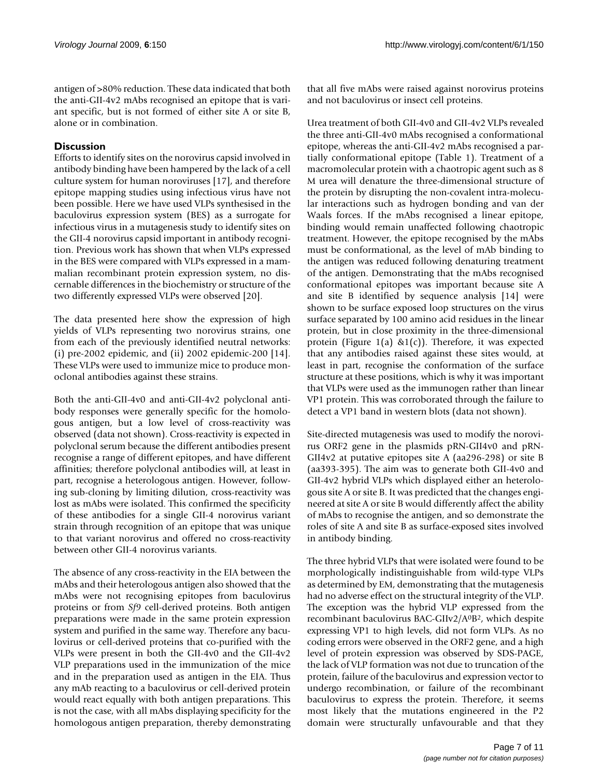antigen of >80% reduction. These data indicated that both the anti-GII-4v2 mAbs recognised an epitope that is variant specific, but is not formed of either site A or site B, alone or in combination.

# **Discussion**

Efforts to identify sites on the norovirus capsid involved in antibody binding have been hampered by the lack of a cell culture system for human noroviruses [17], and therefore epitope mapping studies using infectious virus have not been possible. Here we have used VLPs synthesised in the baculovirus expression system (BES) as a surrogate for infectious virus in a mutagenesis study to identify sites on the GII-4 norovirus capsid important in antibody recognition. Previous work has shown that when VLPs expressed in the BES were compared with VLPs expressed in a mammalian recombinant protein expression system, no discernable differences in the biochemistry or structure of the two differently expressed VLPs were observed [20].

The data presented here show the expression of high yields of VLPs representing two norovirus strains, one from each of the previously identified neutral networks: (i) pre-2002 epidemic, and (ii) 2002 epidemic-200 [14]. These VLPs were used to immunize mice to produce monoclonal antibodies against these strains.

Both the anti-GII-4v0 and anti-GII-4v2 polyclonal antibody responses were generally specific for the homologous antigen, but a low level of cross-reactivity was observed (data not shown). Cross-reactivity is expected in polyclonal serum because the different antibodies present recognise a range of different epitopes, and have different affinities; therefore polyclonal antibodies will, at least in part, recognise a heterologous antigen. However, following sub-cloning by limiting dilution, cross-reactivity was lost as mAbs were isolated. This confirmed the specificity of these antibodies for a single GII-4 norovirus variant strain through recognition of an epitope that was unique to that variant norovirus and offered no cross-reactivity between other GII-4 norovirus variants.

The absence of any cross-reactivity in the EIA between the mAbs and their heterologous antigen also showed that the mAbs were not recognising epitopes from baculovirus proteins or from *Sf9* cell-derived proteins. Both antigen preparations were made in the same protein expression system and purified in the same way. Therefore any baculovirus or cell-derived proteins that co-purified with the VLPs were present in both the GII-4v0 and the GII-4v2 VLP preparations used in the immunization of the mice and in the preparation used as antigen in the EIA. Thus any mAb reacting to a baculovirus or cell-derived protein would react equally with both antigen preparations. This is not the case, with all mAbs displaying specificity for the homologous antigen preparation, thereby demonstrating that all five mAbs were raised against norovirus proteins and not baculovirus or insect cell proteins.

Urea treatment of both GII-4v0 and GII-4v2 VLPs revealed the three anti-GII-4v0 mAbs recognised a conformational epitope, whereas the anti-GII-4v2 mAbs recognised a partially conformational epitope (Table 1). Treatment of a macromolecular protein with a chaotropic agent such as 8 M urea will denature the three-dimensional structure of the protein by disrupting the non-covalent intra-molecular interactions such as hydrogen bonding and van der Waals forces. If the mAbs recognised a linear epitope, binding would remain unaffected following chaotropic treatment. However, the epitope recognised by the mAbs must be conformational, as the level of mAb binding to the antigen was reduced following denaturing treatment of the antigen. Demonstrating that the mAbs recognised conformational epitopes was important because site A and site B identified by sequence analysis [14] were shown to be surface exposed loop structures on the virus surface separated by 100 amino acid residues in the linear protein, but in close proximity in the three-dimensional protein (Figure 1(a) &1(c)). Therefore, it was expected that any antibodies raised against these sites would, at least in part, recognise the conformation of the surface structure at these positions, which is why it was important that VLPs were used as the immunogen rather than linear VP1 protein. This was corroborated through the failure to detect a VP1 band in western blots (data not shown).

Site-directed mutagenesis was used to modify the norovirus ORF2 gene in the plasmids pRN-GII4v0 and pRN-GII4v2 at putative epitopes site A (aa296-298) or site B (aa393-395). The aim was to generate both GII-4v0 and GII-4v2 hybrid VLPs which displayed either an heterologous site A or site B. It was predicted that the changes engineered at site A or site B would differently affect the ability of mAbs to recognise the antigen, and so demonstrate the roles of site A and site B as surface-exposed sites involved in antibody binding.

The three hybrid VLPs that were isolated were found to be morphologically indistinguishable from wild-type VLPs as determined by EM, demonstrating that the mutagenesis had no adverse effect on the structural integrity of the VLP. The exception was the hybrid VLP expressed from the recombinant baculovirus BAC-GIIv2/A0B2, which despite expressing VP1 to high levels, did not form VLPs. As no coding errors were observed in the ORF2 gene, and a high level of protein expression was observed by SDS-PAGE, the lack of VLP formation was not due to truncation of the protein, failure of the baculovirus and expression vector to undergo recombination, or failure of the recombinant baculovirus to express the protein. Therefore, it seems most likely that the mutations engineered in the P2 domain were structurally unfavourable and that they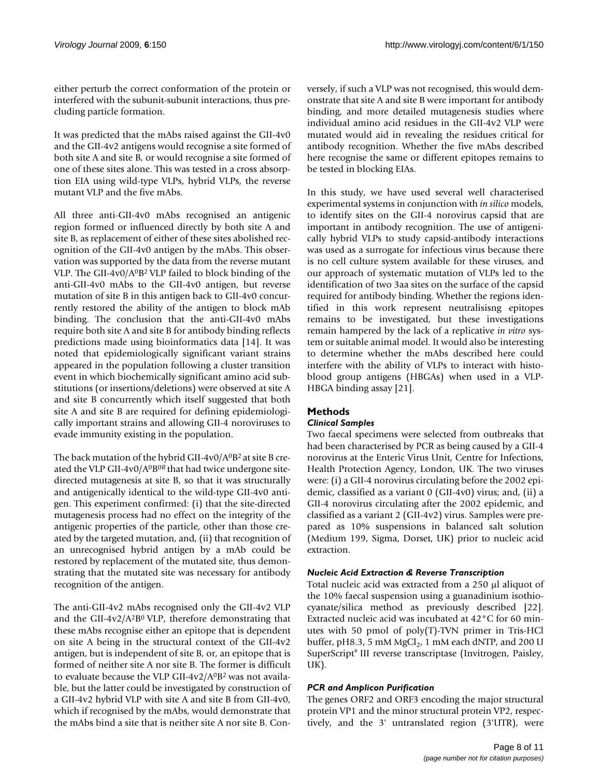either perturb the correct conformation of the protein or interfered with the subunit-subunit interactions, thus precluding particle formation.

It was predicted that the mAbs raised against the GII-4v0 and the GII-4v2 antigens would recognise a site formed of both site A and site B, or would recognise a site formed of one of these sites alone. This was tested in a cross absorption EIA using wild-type VLPs, hybrid VLPs, the reverse mutant VLP and the five mAbs.

All three anti-GII-4v0 mAbs recognised an antigenic region formed or influenced directly by both site A and site B, as replacement of either of these sites abolished recognition of the GII-4v0 antigen by the mAbs. This observation was supported by the data from the reverse mutant VLP. The GII-4v0/A0B2 VLP failed to block binding of the anti-GII-4v0 mAbs to the GII-4v0 antigen, but reverse mutation of site B in this antigen back to GII-4v0 concurrently restored the ability of the antigen to block mAb binding. The conclusion that the anti-GII-4v0 mAbs require both site A and site B for antibody binding reflects predictions made using bioinformatics data [14]. It was noted that epidemiologically significant variant strains appeared in the population following a cluster transition event in which biochemically significant amino acid substitutions (or insertions/deletions) were observed at site A and site B concurrently which itself suggested that both site A and site B are required for defining epidemiologically important strains and allowing GII-4 noroviruses to evade immunity existing in the population.

The back mutation of the hybrid GII-4v0/ $A^{0}B^{2}$  at site B created the VLP GII-4v0/A0B0*R* that had twice undergone sitedirected mutagenesis at site B, so that it was structurally and antigenically identical to the wild-type GII-4v0 antigen. This experiment confirmed: (i) that the site-directed mutagenesis process had no effect on the integrity of the antigenic properties of the particle, other than those created by the targeted mutation, and, (ii) that recognition of an unrecognised hybrid antigen by a mAb could be restored by replacement of the mutated site, thus demonstrating that the mutated site was necessary for antibody recognition of the antigen.

The anti-GII-4v2 mAbs recognised only the GII-4v2 VLP and the GII-4v2/A<sup>2</sup>B<sup>0</sup> VLP, therefore demonstrating that these mAbs recognise either an epitope that is dependent on site A being in the structural context of the GII-4v2 antigen, but is independent of site B, or, an epitope that is formed of neither site A nor site B. The former is difficult to evaluate because the VLP GII-4v2/A0B2 was not available, but the latter could be investigated by construction of a GII-4v2 hybrid VLP with site A and site B from GII-4v0, which if recognised by the mAbs, would demonstrate that the mAbs bind a site that is neither site A nor site B. Conversely, if such a VLP was not recognised, this would demonstrate that site A and site B were important for antibody binding, and more detailed mutagenesis studies where individual amino acid residues in the GII-4v2 VLP were mutated would aid in revealing the residues critical for antibody recognition. Whether the five mAbs described here recognise the same or different epitopes remains to be tested in blocking EIAs.

In this study, we have used several well characterised experimental systems in conjunction with *in silico* models, to identify sites on the GII-4 norovirus capsid that are important in antibody recognition. The use of antigenically hybrid VLPs to study capsid-antibody interactions was used as a surrogate for infectious virus because there is no cell culture system available for these viruses, and our approach of systematic mutation of VLPs led to the identification of two 3aa sites on the surface of the capsid required for antibody binding. Whether the regions identified in this work represent neutralisisng epitopes remains to be investigated, but these investigations remain hampered by the lack of a replicative *in vitro* system or suitable animal model. It would also be interesting to determine whether the mAbs described here could interfere with the ability of VLPs to interact with histoblood group antigens (HBGAs) when used in a VLP-HBGA binding assay [21].

# **Methods**

# *Clinical Samples*

Two faecal specimens were selected from outbreaks that had been characterised by PCR as being caused by a GII-4 norovirus at the Enteric Virus Unit, Centre for Infections, Health Protection Agency, London, UK. The two viruses were: (i) a GII-4 norovirus circulating before the 2002 epidemic, classified as a variant 0 (GII-4v0) virus; and, (ii) a GII-4 norovirus circulating after the 2002 epidemic, and classified as a variant 2 (GII-4v2) virus. Samples were prepared as 10% suspensions in balanced salt solution (Medium 199, Sigma, Dorset, UK) prior to nucleic acid extraction.

# *Nucleic Acid Extraction & Reverse Transcription*

Total nucleic acid was extracted from a 250 μl aliquot of the 10% faecal suspension using a guanadinium isothiocyanate/silica method as previously described [22]. Extracted nucleic acid was incubated at 42°C for 60 minutes with 50 pmol of poly(T)-TVN primer in Tris-HCl buffer, pH8.3, 5 mM  $MgCl<sub>2</sub>$ , 1 mM each dNTP, and 200 U SuperScript® III reverse transcriptase (Invitrogen, Paisley, UK).

# *PCR and Amplicon Purification*

The genes ORF2 and ORF3 encoding the major structural protein VP1 and the minor structural protein VP2, respectively, and the 3' untranslated region (3'UTR), were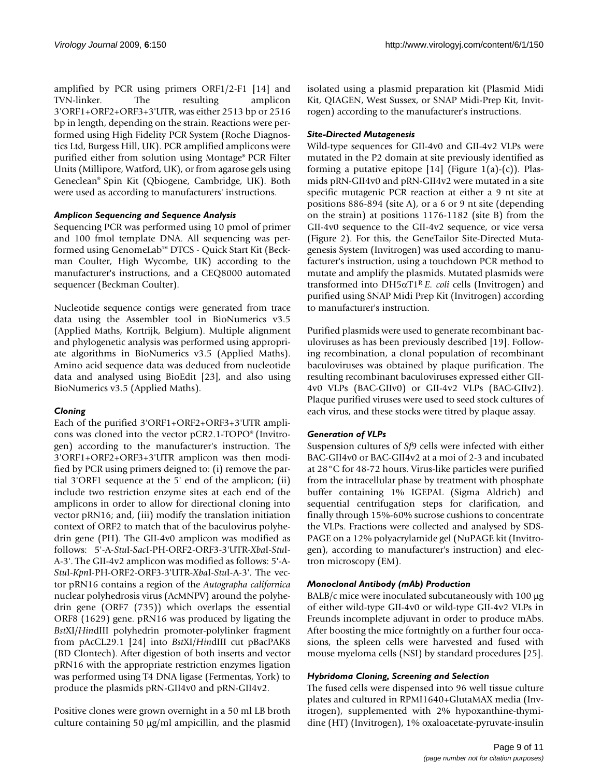amplified by PCR using primers ORF1/2-F1 [14] and TVN-linker. The resulting amplicon 3'ORF1+ORF2+ORF3+3'UTR, was either 2513 bp or 2516 bp in length, depending on the strain. Reactions were performed using High Fidelity PCR System (Roche Diagnostics Ltd, Burgess Hill, UK). PCR amplified amplicons were purified either from solution using Montage® PCR Filter Units (Millipore, Watford, UK), or from agarose gels using Geneclean® Spin Kit (Qbiogene, Cambridge, UK). Both were used as according to manufacturers' instructions.

# *Amplicon Sequencing and Sequence Analysis*

Sequencing PCR was performed using 10 pmol of primer and 100 fmol template DNA. All sequencing was performed using GenomeLab™ DTCS - Quick Start Kit (Beckman Coulter, High Wycombe, UK) according to the manufacturer's instructions, and a CEQ8000 automated sequencer (Beckman Coulter).

Nucleotide sequence contigs were generated from trace data using the Assembler tool in BioNumerics v3.5 (Applied Maths, Kortrijk, Belgium). Multiple alignment and phylogenetic analysis was performed using appropriate algorithms in BioNumerics v3.5 (Applied Maths). Amino acid sequence data was deduced from nucleotide data and analysed using BioEdit [23], and also using BioNumerics v3.5 (Applied Maths).

# *Cloning*

Each of the purified 3'ORF1+ORF2+ORF3+3'UTR amplicons was cloned into the vector pCR2.1-TOPO® (Invitrogen) according to the manufacturer's instruction. The 3'ORF1+ORF2+ORF3+3'UTR amplicon was then modified by PCR using primers deigned to: (i) remove the partial 3'ORF1 sequence at the 5' end of the amplicon; (ii) include two restriction enzyme sites at each end of the amplicons in order to allow for directional cloning into vector pRN16; and, (iii) modify the translation initiation context of ORF2 to match that of the baculovirus polyhedrin gene (PH). The GII-4v0 amplicon was modified as follows: 5'-A-*Stu*I-*Sac*I-PH-ORF2-ORF3-3'UTR-*Xba*I-*Stu*I-A-3'. The GII-4v2 amplicon was modified as follows: 5'-A-*Stu*I-*Kpn*I-PH-ORF2-ORF3-3'UTR-*Xba*I-*Stu*I-A-3'. The vector pRN16 contains a region of the *Autographa californica* nuclear polyhedrosis virus (AcMNPV) around the polyhedrin gene (ORF7 (735)) which overlaps the essential ORF8 (1629) gene. pRN16 was produced by ligating the *Bst*XI/*Hin*dIII polyhedrin promoter-polylinker fragment from pAcCL29.1 [24] into *Bst*XI/*Hin*dIII cut pBacPAK8 (BD Clontech). After digestion of both inserts and vector pRN16 with the appropriate restriction enzymes ligation was performed using T4 DNA ligase (Fermentas, York) to produce the plasmids pRN-GII4v0 and pRN-GII4v2.

Positive clones were grown overnight in a 50 ml LB broth culture containing 50 μg/ml ampicillin, and the plasmid isolated using a plasmid preparation kit (Plasmid Midi Kit, QIAGEN, West Sussex, or SNAP Midi-Prep Kit, Invitrogen) according to the manufacturer's instructions.

#### *Site-Directed Mutagenesis*

Wild-type sequences for GII-4v0 and GII-4v2 VLPs were mutated in the P2 domain at site previously identified as forming a putative epitope  $[14]$  (Figure 1(a)-(c)). Plasmids pRN-GII4v0 and pRN-GII4v2 were mutated in a site specific mutagenic PCR reaction at either a 9 nt site at positions 886-894 (site A), or a 6 or 9 nt site (depending on the strain) at positions 1176-1182 (site B) from the GII-4v0 sequence to the GII-4v2 sequence, or vice versa (Figure 2). For this, the GeneTailor Site-Directed Mutagenesis System (Invitrogen) was used according to manufacturer's instruction, using a touchdown PCR method to mutate and amplify the plasmids. Mutated plasmids were transformed into DH5αT1R *E. coli* cells (Invitrogen) and purified using SNAP Midi Prep Kit (Invitrogen) according to manufacturer's instruction.

Purified plasmids were used to generate recombinant baculoviruses as has been previously described [19]. Following recombination, a clonal population of recombinant baculoviruses was obtained by plaque purification. The resulting recombinant baculoviruses expressed either GII-4v0 VLPs (BAC-GIIv0) or GII-4v2 VLPs (BAC-GIIv2). Plaque purified viruses were used to seed stock cultures of each virus, and these stocks were titred by plaque assay.

# *Generation of VLPs*

Suspension cultures of *Sf*9 cells were infected with either BAC-GII4v0 or BAC-GII4v2 at a moi of 2-3 and incubated at 28°C for 48-72 hours. Virus-like particles were purified from the intracellular phase by treatment with phosphate buffer containing 1% IGEPAL (Sigma Aldrich) and sequential centrifugation steps for clarification, and finally through 15%-60% sucrose cushions to concentrate the VLPs. Fractions were collected and analysed by SDS-PAGE on a 12% polyacrylamide gel (NuPAGE kit (Invitrogen), according to manufacturer's instruction) and electron microscopy (EM).

# *Monoclonal Antibody (mAb) Production*

BALB/c mice were inoculated subcutaneously with 100 μg of either wild-type GII-4v0 or wild-type GII-4v2 VLPs in Freunds incomplete adjuvant in order to produce mAbs. After boosting the mice fortnightly on a further four occasions, the spleen cells were harvested and fused with mouse myeloma cells (NSI) by standard procedures [25].

#### *Hybridoma Cloning, Screening and Selection*

The fused cells were dispensed into 96 well tissue culture plates and cultured in RPMI1640+GlutaMAX media (Invitrogen), supplemented with 2% hypoxanthine-thymidine (HT) (Invitrogen), 1% oxaloacetate-pyruvate-insulin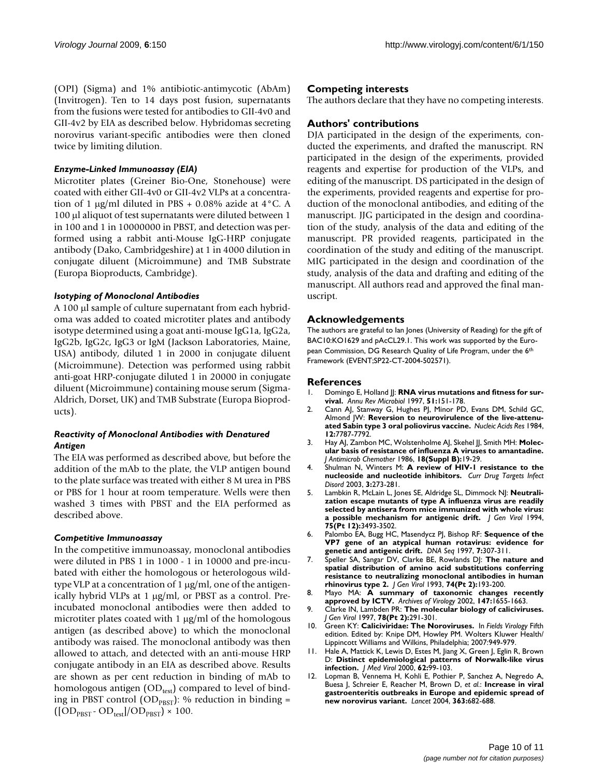(OPI) (Sigma) and 1% antibiotic-antimycotic (AbAm) (Invitrogen). Ten to 14 days post fusion, supernatants from the fusions were tested for antibodies to GII-4v0 and GII-4v2 by EIA as described below. Hybridomas secreting norovirus variant-specific antibodies were then cloned twice by limiting dilution.

#### *Enzyme-Linked Immunoassay (EIA)*

Microtiter plates (Greiner Bio-One, Stonehouse) were coated with either GII-4v0 or GII-4v2 VLPs at a concentration of 1 μg/ml diluted in PBS + 0.08% azide at  $4^{\circ}$ C. A 100 μl aliquot of test supernatants were diluted between 1 in 100 and 1 in 10000000 in PBST, and detection was performed using a rabbit anti-Mouse IgG-HRP conjugate antibody (Dako, Cambridgeshire) at 1 in 4000 dilution in conjugate diluent (Microimmune) and TMB Substrate (Europa Bioproducts, Cambridge).

#### *Isotyping of Monoclonal Antibodies*

A 100 μl sample of culture supernatant from each hybridoma was added to coated microtiter plates and antibody isotype determined using a goat anti-mouse IgG1a, IgG2a, IgG2b, IgG2c, IgG3 or IgM (Jackson Laboratories, Maine, USA) antibody, diluted 1 in 2000 in conjugate diluent (Microimmune). Detection was performed using rabbit anti-goat HRP-conjugate diluted 1 in 20000 in conjugate diluent (Microimmune) containing mouse serum (Sigma-Aldrich, Dorset, UK) and TMB Substrate (Europa Bioproducts).

#### *Reactivity of Monoclonal Antibodies with Denatured Antigen*

The EIA was performed as described above, but before the addition of the mAb to the plate, the VLP antigen bound to the plate surface was treated with either 8 M urea in PBS or PBS for 1 hour at room temperature. Wells were then washed 3 times with PBST and the EIA performed as described above.

#### *Competitive Immunoassay*

In the competitive immunoassay, monoclonal antibodies were diluted in PBS 1 in 1000 - 1 in 10000 and pre-incubated with either the homologous or heterologous wildtype VLP at a concentration of 1 μg/ml, one of the antigenically hybrid VLPs at 1 μg/ml, or PBST as a control. Preincubated monoclonal antibodies were then added to microtiter plates coated with 1 μg/ml of the homologous antigen (as described above) to which the monoclonal antibody was raised. The monoclonal antibody was then allowed to attach, and detected with an anti-mouse HRP conjugate antibody in an EIA as described above. Results are shown as per cent reduction in binding of mAb to homologous antigen  $OD_{test}$ ) compared to level of binding in PBST control ( $OD<sub>PBST</sub>$ ): % reduction in binding =  $([OD<sub>PBST</sub> - OD<sub>test</sub>]/OD<sub>PBST</sub>) \times 100.$ 

#### **Competing interests**

The authors declare that they have no competing interests.

#### **Authors' contributions**

DJA participated in the design of the experiments, conducted the experiments, and drafted the manuscript. RN participated in the design of the experiments, provided reagents and expertise for production of the VLPs, and editing of the manuscript. DS participated in the design of the experiments, provided reagents and expertise for production of the monoclonal antibodies, and editing of the manuscript. JJG participated in the design and coordination of the study, analysis of the data and editing of the manuscript. PR provided reagents, participated in the coordination of the study and editing of the manuscript. MIG participated in the design and coordination of the study, analysis of the data and drafting and editing of the manuscript. All authors read and approved the final manuscript.

#### **Acknowledgements**

The authors are grateful to Ian Jones (University of Reading) for the gift of BAC10:KO1629 and pAcCL29.1. This work was supported by the European Commission, DG Research Quality of Life Program, under the 6th Framework (EVENT;SP22-CT-2004-502571).

#### **References**

- Domingo E, Holland JJ: [RNA virus mutations and fitness for sur](http://www.ncbi.nlm.nih.gov/entrez/query.fcgi?cmd=Retrieve&db=PubMed&dopt=Abstract&list_uids=9343347)**[vival.](http://www.ncbi.nlm.nih.gov/entrez/query.fcgi?cmd=Retrieve&db=PubMed&dopt=Abstract&list_uids=9343347)** *Annu Rev Microbiol* 1997, **51:**151-178.
- 2. Cann AJ, Stanway G, Hughes PJ, Minor PD, Evans DM, Schild GC, Almond JW: **[Reversion to neurovirulence of the live-attenu](http://www.ncbi.nlm.nih.gov/entrez/query.fcgi?cmd=Retrieve&db=PubMed&dopt=Abstract&list_uids=6093054)[ated Sabin type 3 oral poliovirus vaccine.](http://www.ncbi.nlm.nih.gov/entrez/query.fcgi?cmd=Retrieve&db=PubMed&dopt=Abstract&list_uids=6093054)** *Nucleic Acids Res* 1984, **12:**7787-7792.
- 3. Hay AJ, Zambon MC, Wolstenholme AJ, Skehel JJ, Smith MH: **[Molec](http://www.ncbi.nlm.nih.gov/entrez/query.fcgi?cmd=Retrieve&db=PubMed&dopt=Abstract&list_uids=3793659)[ular basis of resistance of influenza A viruses to amantadine.](http://www.ncbi.nlm.nih.gov/entrez/query.fcgi?cmd=Retrieve&db=PubMed&dopt=Abstract&list_uids=3793659)** *J Antimicrob Chemother* 1986, **18(Suppl B):**19-29.
- 4. Shulman N, Winters M: **[A review of HIV-1 resistance to the](http://www.ncbi.nlm.nih.gov/entrez/query.fcgi?cmd=Retrieve&db=PubMed&dopt=Abstract&list_uids=14754429) [nucleoside and nucleotide inhibitors.](http://www.ncbi.nlm.nih.gov/entrez/query.fcgi?cmd=Retrieve&db=PubMed&dopt=Abstract&list_uids=14754429)** *Curr Drug Targets Infect Disord* 2003, **3:**273-281.
- 5. Lambkin R, McLain L, Jones SE, Aldridge SL, Dimmock NJ: **[Neutrali](http://www.ncbi.nlm.nih.gov/entrez/query.fcgi?cmd=Retrieve&db=PubMed&dopt=Abstract&list_uids=7527838)[zation escape mutants of type A influenza virus are readily](http://www.ncbi.nlm.nih.gov/entrez/query.fcgi?cmd=Retrieve&db=PubMed&dopt=Abstract&list_uids=7527838) selected by antisera from mice immunized with whole virus: [a possible mechanism for antigenic drift.](http://www.ncbi.nlm.nih.gov/entrez/query.fcgi?cmd=Retrieve&db=PubMed&dopt=Abstract&list_uids=7527838)** *J Gen Virol* 1994, **75(Pt 12):**3493-3502.
- 6. Palombo EA, Bugg HC, Masendycz PJ, Bishop RF: **[Sequence of the](http://www.ncbi.nlm.nih.gov/entrez/query.fcgi?cmd=Retrieve&db=PubMed&dopt=Abstract&list_uids=9255522) [VP7 gene of an atypical human rotavirus: evidence for](http://www.ncbi.nlm.nih.gov/entrez/query.fcgi?cmd=Retrieve&db=PubMed&dopt=Abstract&list_uids=9255522) [genetic and antigenic drift.](http://www.ncbi.nlm.nih.gov/entrez/query.fcgi?cmd=Retrieve&db=PubMed&dopt=Abstract&list_uids=9255522)** *DNA Seq* 1997, **7:**307-311.
- 7. Speller SA, Sangar DV, Clarke BE, Rowlands DJ: **[The nature and](http://www.ncbi.nlm.nih.gov/entrez/query.fcgi?cmd=Retrieve&db=PubMed&dopt=Abstract&list_uids=8381460) [spatial distribution of amino acid substitutions conferring](http://www.ncbi.nlm.nih.gov/entrez/query.fcgi?cmd=Retrieve&db=PubMed&dopt=Abstract&list_uids=8381460) resistance to neutralizing monoclonal antibodies in human [rhinovirus type 2.](http://www.ncbi.nlm.nih.gov/entrez/query.fcgi?cmd=Retrieve&db=PubMed&dopt=Abstract&list_uids=8381460)** *J Gen Virol* 1993, **74(Pt 2):**193-200.
- 8. Mayo MA: **[A summary of taxonomic changes recently](http://www.ncbi.nlm.nih.gov/entrez/query.fcgi?cmd=Retrieve&db=PubMed&dopt=Abstract&list_uids=12181683) [approved by ICTV.](http://www.ncbi.nlm.nih.gov/entrez/query.fcgi?cmd=Retrieve&db=PubMed&dopt=Abstract&list_uids=12181683)** *Archives of Virology* 2002, **147:**1655-1663.
- 9. Clarke IN, Lambden PR: **[The molecular biology of caliciviruses.](http://www.ncbi.nlm.nih.gov/entrez/query.fcgi?cmd=Retrieve&db=PubMed&dopt=Abstract&list_uids=9018049)** *J Gen Virol* 1997, **78(Pt 2):**291-301.
- 10. Green KY: **Caliciviridae: The Noroviruses.** In *Fields Virology* Fifth edition. Edited by: Knipe DM, Howley PM. Wolters Kluwer Health/ Lippincott Williams and Wilkins, Philadelphia; 2007:949-979.
- 11. Hale A, Mattick K, Lewis D, Estes M, Jiang X, Green J, Eglin R, Brown D: **[Distinct epidemiological patterns of Norwalk-like virus](http://www.ncbi.nlm.nih.gov/entrez/query.fcgi?cmd=Retrieve&db=PubMed&dopt=Abstract&list_uids=10935995) [infection.](http://www.ncbi.nlm.nih.gov/entrez/query.fcgi?cmd=Retrieve&db=PubMed&dopt=Abstract&list_uids=10935995)** *J Med Virol* 2000, **62:**99-103.
- 12. Lopman B, Vennema H, Kohli E, Pothier P, Sanchez A, Negredo A, Buesa J, Schreier E, Reacher M, Brown D, *et al.*: **[Increase in viral](http://www.ncbi.nlm.nih.gov/entrez/query.fcgi?cmd=Retrieve&db=PubMed&dopt=Abstract&list_uids=15001325) [gastroenteritis outbreaks in Europe and epidemic spread of](http://www.ncbi.nlm.nih.gov/entrez/query.fcgi?cmd=Retrieve&db=PubMed&dopt=Abstract&list_uids=15001325) [new norovirus variant.](http://www.ncbi.nlm.nih.gov/entrez/query.fcgi?cmd=Retrieve&db=PubMed&dopt=Abstract&list_uids=15001325)** *Lancet* 2004, **363:**682-688.